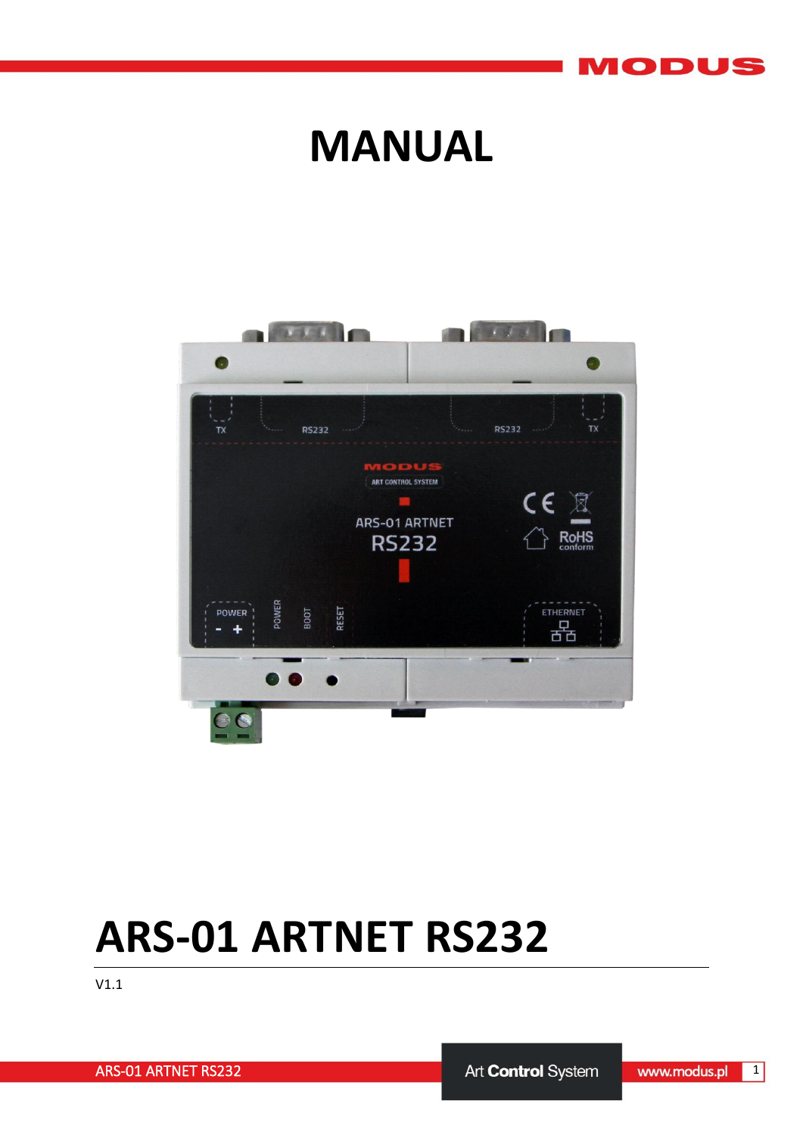#### MODUS

## **MANUAL**



# **ARS-01 ARTNET RS232**

V1.1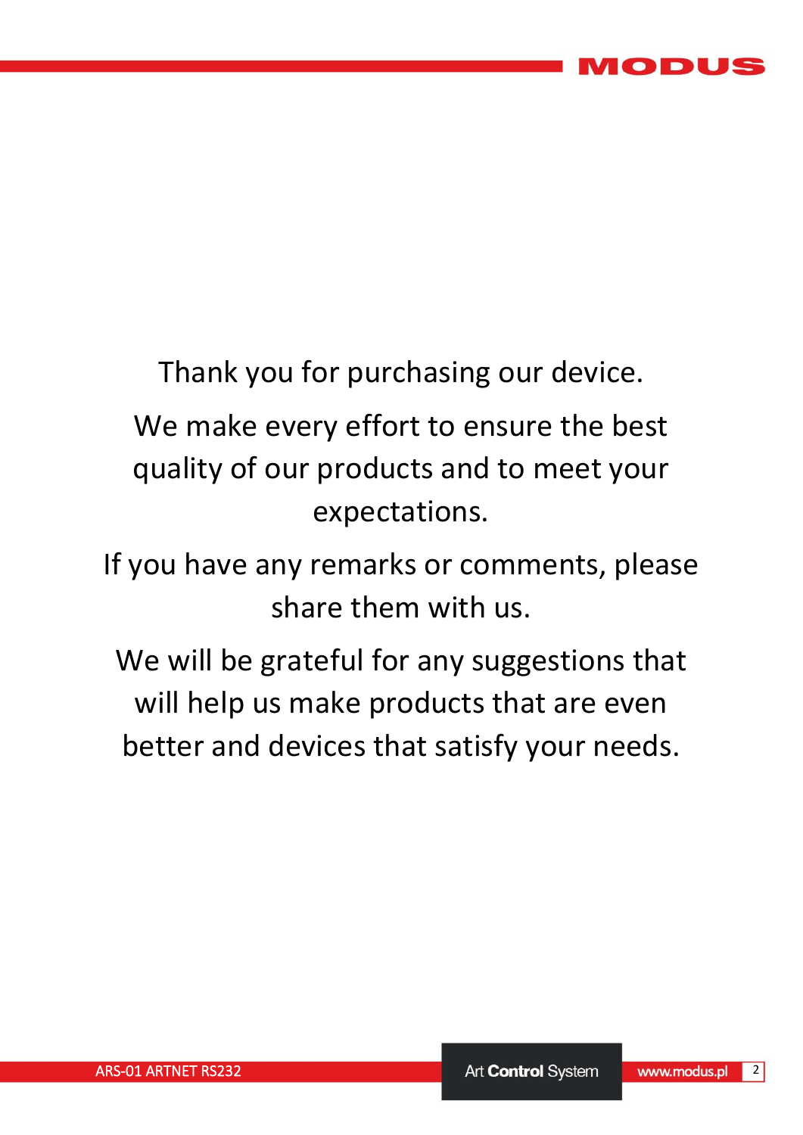

## Thank you for purchasing our device. We make every effort to ensure the best quality of our products and to meet your expectations.

If you have any remarks or comments, please share them with us.

We will be grateful for any suggestions that will help us make products that are even better and devices that satisfy your needs.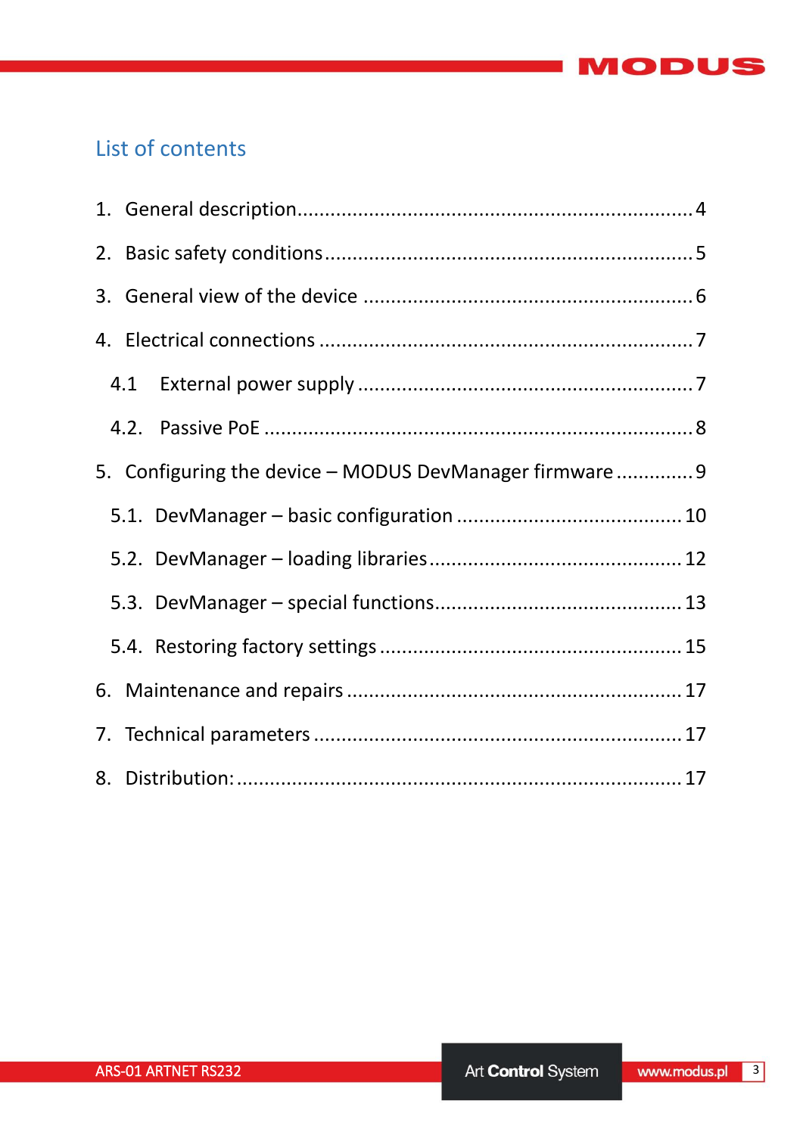

## List of contents

| 4.1 |                                                         |  |
|-----|---------------------------------------------------------|--|
|     |                                                         |  |
|     | 5. Configuring the device - MODUS DevManager firmware 9 |  |
|     |                                                         |  |
|     |                                                         |  |
|     |                                                         |  |
|     |                                                         |  |
|     |                                                         |  |
|     |                                                         |  |
|     |                                                         |  |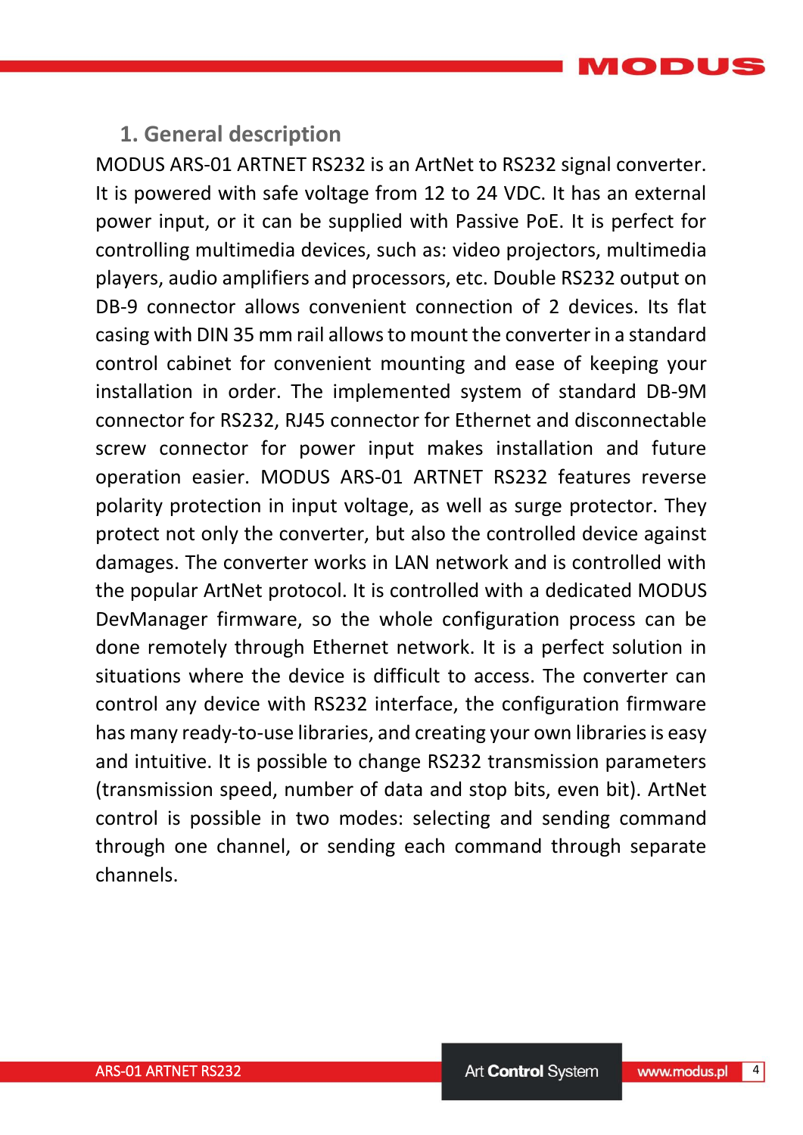MODUS

#### <span id="page-3-0"></span>**1. General description**

MODUS ARS-01 ARTNET RS232 is an ArtNet to RS232 signal converter. It is powered with safe voltage from 12 to 24 VDC. It has an external power input, or it can be supplied with Passive PoE. It is perfect for controlling multimedia devices, such as: video projectors, multimedia players, audio amplifiers and processors, etc. Double RS232 output on DB-9 connector allows convenient connection of 2 devices. Its flat casing with DIN 35 mm rail allows to mount the converter in a standard control cabinet for convenient mounting and ease of keeping your installation in order. The implemented system of standard DB-9M connector for RS232, RJ45 connector for Ethernet and disconnectable screw connector for power input makes installation and future operation easier. MODUS ARS-01 ARTNET RS232 features reverse polarity protection in input voltage, as well as surge protector. They protect not only the converter, but also the controlled device against damages. The converter works in LAN network and is controlled with the popular ArtNet protocol. It is controlled with a dedicated MODUS DevManager firmware, so the whole configuration process can be done remotely through Ethernet network. It is a perfect solution in situations where the device is difficult to access. The converter can control any device with RS232 interface, the configuration firmware has many ready-to-use libraries, and creating your own libraries is easy and intuitive. It is possible to change RS232 transmission parameters (transmission speed, number of data and stop bits, even bit). ArtNet control is possible in two modes: selecting and sending command through one channel, or sending each command through separate channels.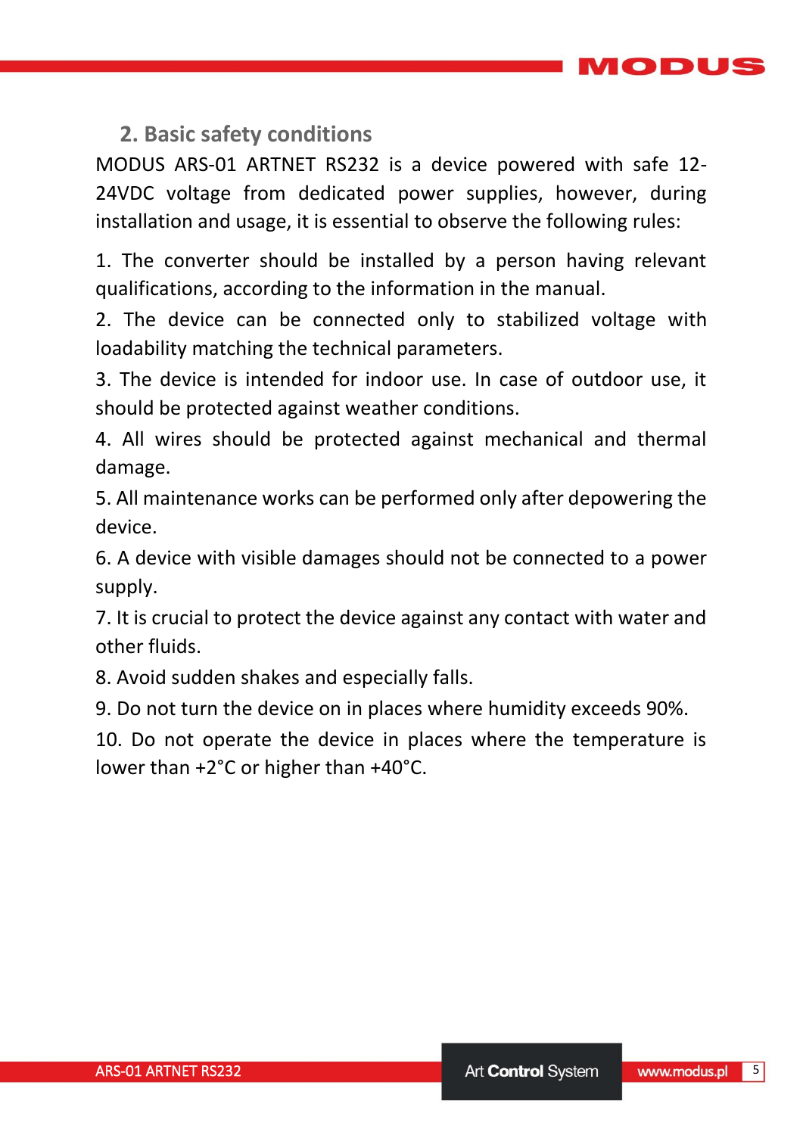MODUS

### <span id="page-4-0"></span>**2. Basic safety conditions**

MODUS ARS-01 ARTNET RS232 is a device powered with safe 12- 24VDC voltage from dedicated power supplies, however, during installation and usage, it is essential to observe the following rules:

1. The converter should be installed by a person having relevant qualifications, according to the information in the manual.

2. The device can be connected only to stabilized voltage with loadability matching the technical parameters.

3. The device is intended for indoor use. In case of outdoor use, it should be protected against weather conditions.

4. All wires should be protected against mechanical and thermal damage.

5. All maintenance works can be performed only after depowering the device.

6. A device with visible damages should not be connected to a power supply.

7. It is crucial to protect the device against any contact with water and other fluids.

8. Avoid sudden shakes and especially falls.

9. Do not turn the device on in places where humidity exceeds 90%.

10. Do not operate the device in places where the temperature is lower than +2°C or higher than +40°C.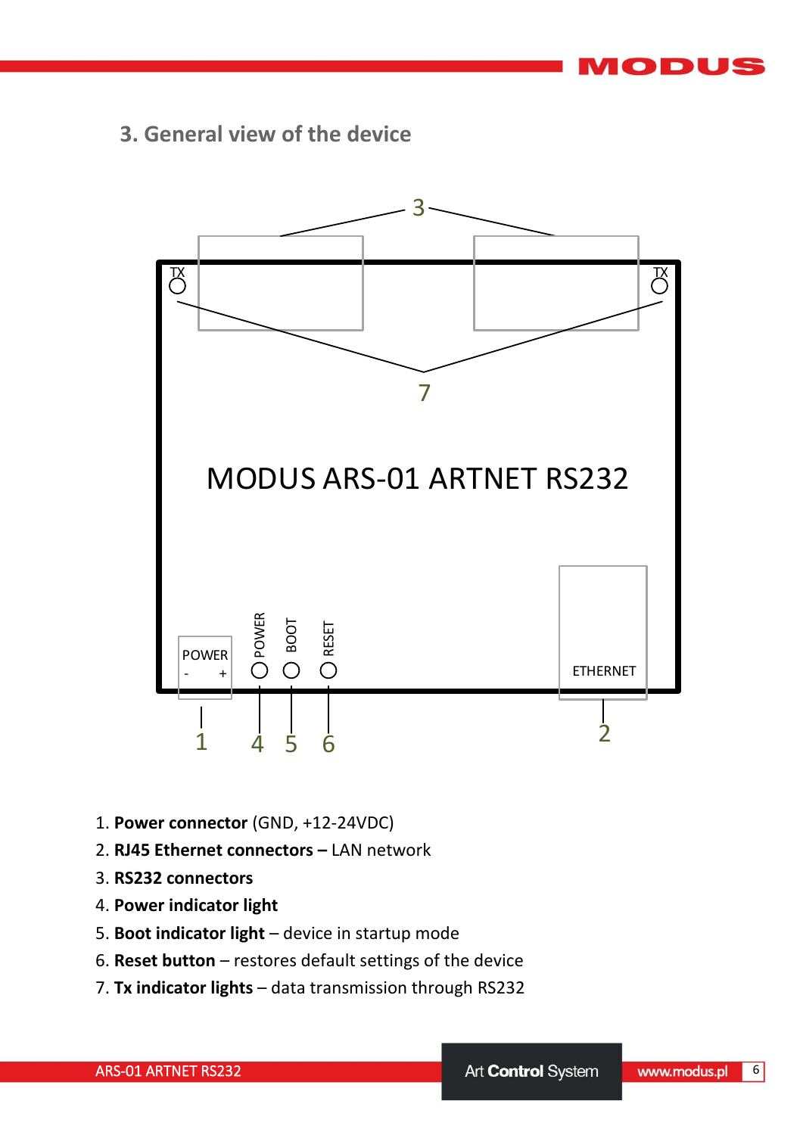ODUS

<span id="page-5-0"></span>**3. General view of the device**



- 1. **Power connector** (GND, +12-24VDC)
- 2. **RJ45 Ethernet connectors –** LAN network
- 3. **RS232 connectors**
- 4. **Power indicator light**
- 5. **Boot indicator light**  device in startup mode
- 6. **Reset button**  restores default settings of the device
- 7. **Tx indicator lights**  data transmission through RS232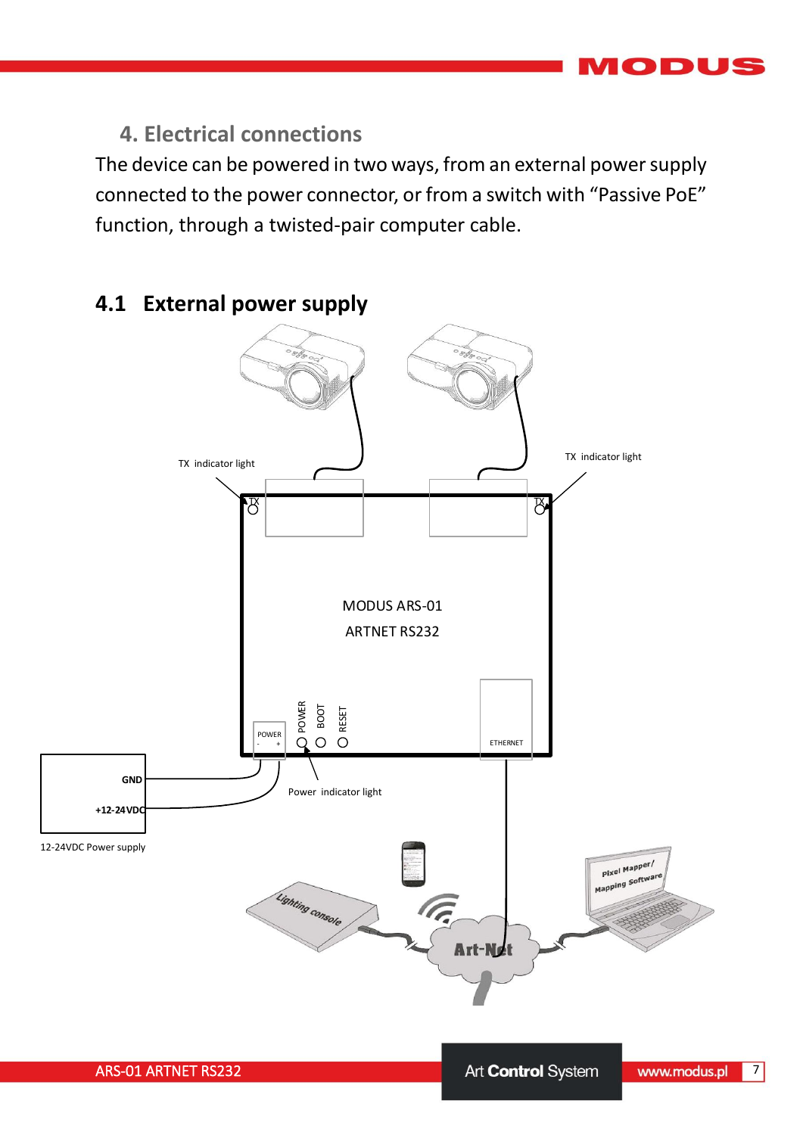## <span id="page-6-0"></span>**4. Electrical connections**

The device can be powered in two ways, from an external power supply connected to the power connector, or from a switch with "Passive PoE" function, through a twisted-pair computer cable.



### <span id="page-6-1"></span>**4.1 External power supply**

IODUS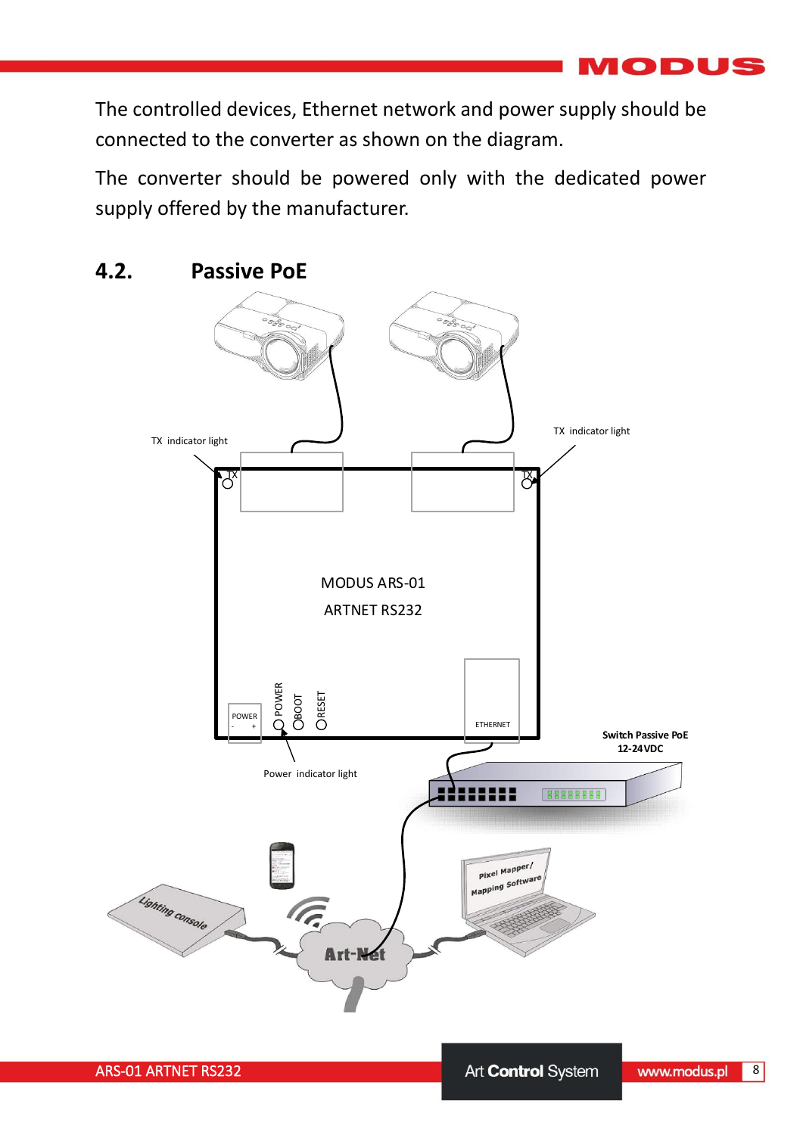$\sqrt{2}$ DUS

The controlled devices, Ethernet network and power supply should be connected to the converter as shown on the diagram.

The converter should be powered only with the dedicated power supply offered by the manufacturer.



#### <span id="page-7-0"></span>**4.2. Passive PoE**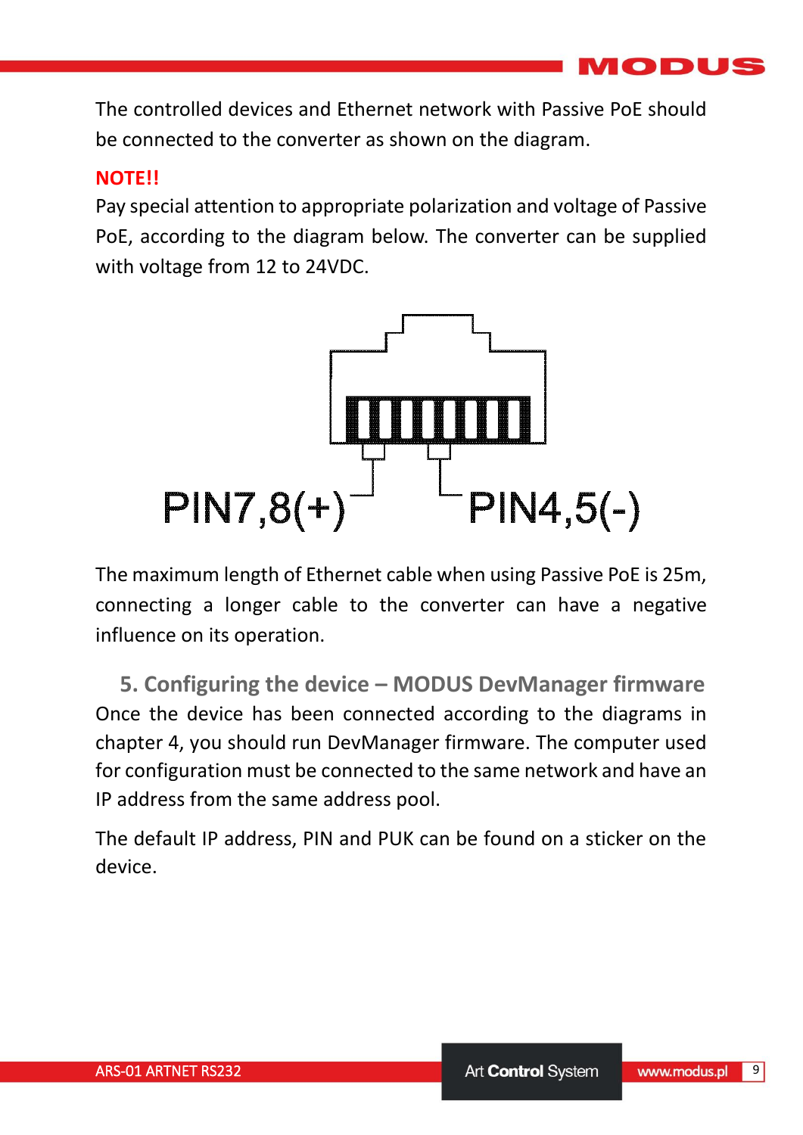**D** 

The controlled devices and Ethernet network with Passive PoE should be connected to the converter as shown on the diagram.

#### **NOTE!!**

Pay special attention to appropriate polarization and voltage of Passive PoE, according to the diagram below. The converter can be supplied with voltage from 12 to 24VDC.



The maximum length of Ethernet cable when using Passive PoE is 25m, connecting a longer cable to the converter can have a negative influence on its operation.

<span id="page-8-0"></span>**5. Configuring the device – MODUS DevManager firmware** Once the device has been connected according to the diagrams in chapter 4, you should run DevManager firmware. The computer used for configuration must be connected to the same network and have an IP address from the same address pool.

The default IP address, PIN and PUK can be found on a sticker on the device.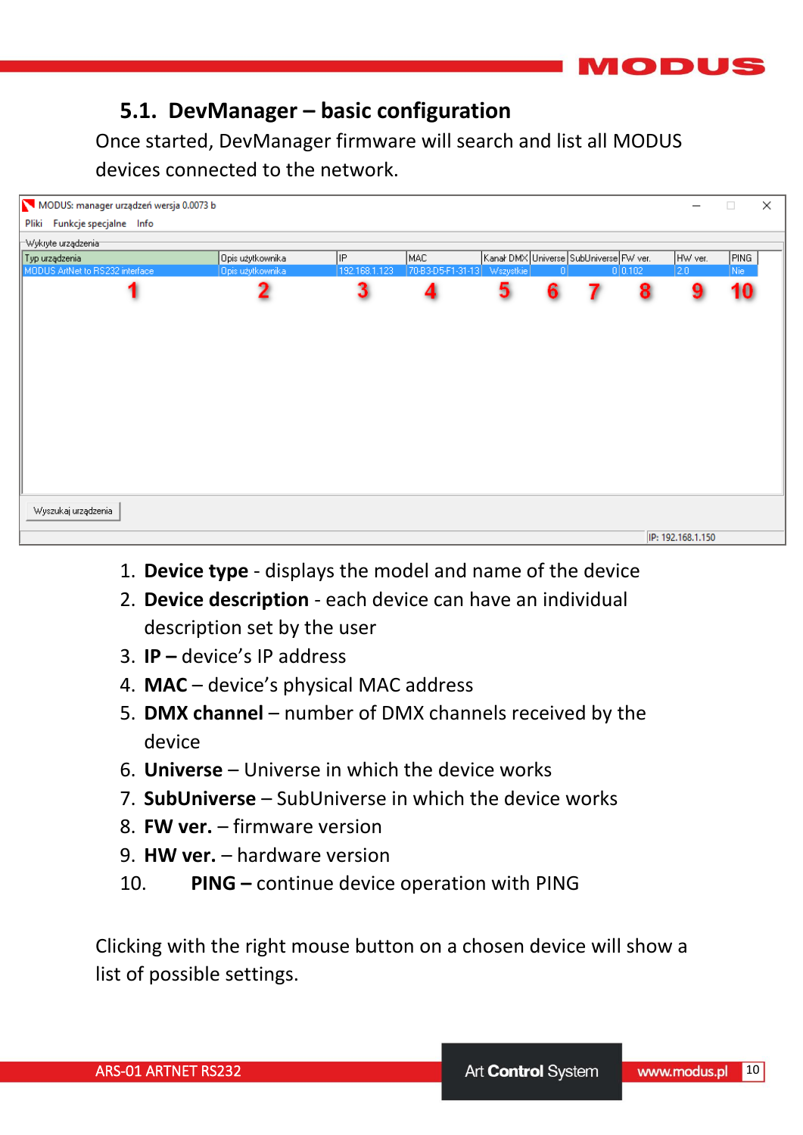

## <span id="page-9-0"></span>**5.1. DevManager – basic configuration**

Once started, DevManager firmware will search and list all MODUS devices connected to the network.



- 1. **Device type**  displays the model and name of the device
- 2. **Device description**  each device can have an individual description set by the user
- 3. **IP –** device's IP address
- 4. **MAC**  device's physical MAC address
- 5. **DMX channel**  number of DMX channels received by the device
- 6. **Universe**  Universe in which the device works
- 7. **SubUniverse**  SubUniverse in which the device works
- 8. **FW ver.**  firmware version
- 9. **HW ver.**  hardware version
- 10. **PING –** continue device operation with PING

Clicking with the right mouse button on a chosen device will show a list of possible settings.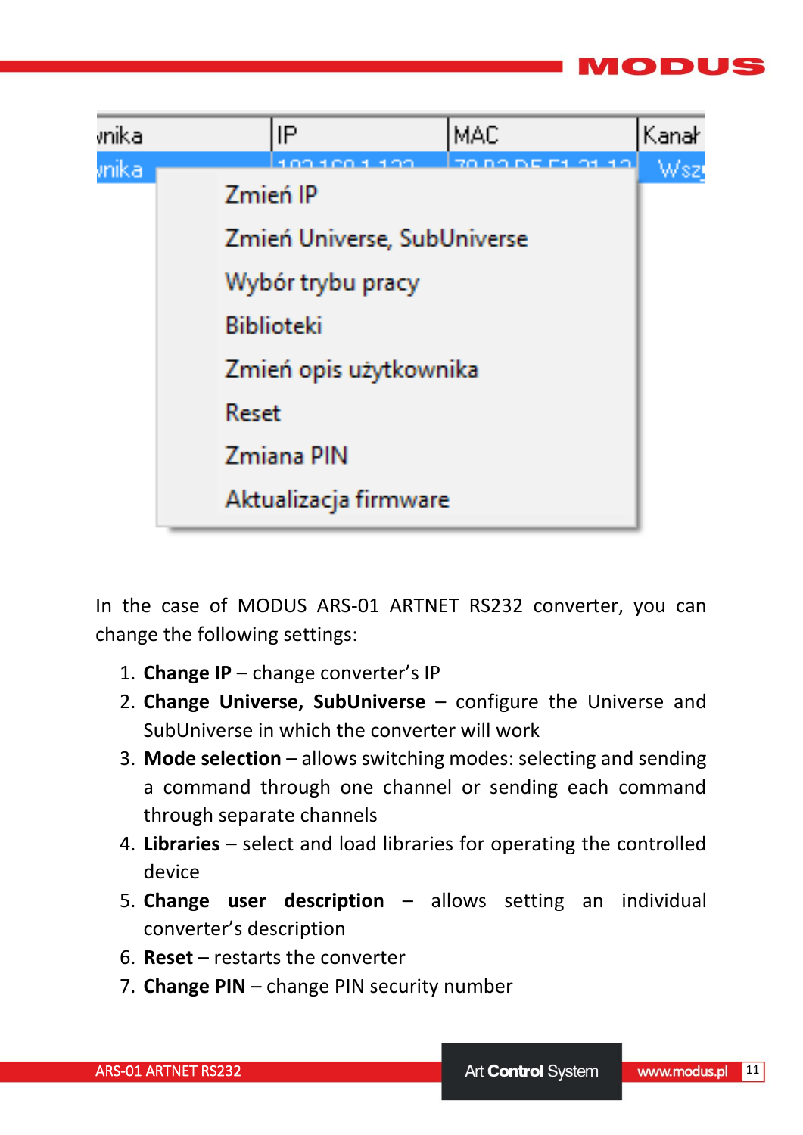



In the case of MODUS ARS-01 ARTNET RS232 converter, you can change the following settings:

- 1. **Change IP**  change converter's IP
- 2. **Change Universe, SubUniverse**  configure the Universe and SubUniverse in which the converter will work
- 3. **Mode selection**  allows switching modes: selecting and sending a command through one channel or sending each command through separate channels
- 4. **Libraries**  select and load libraries for operating the controlled device
- 5. **Change user description**  allows setting an individual converter's description
- 6. **Reset**  restarts the converter
- 7. **Change PIN**  change PIN security number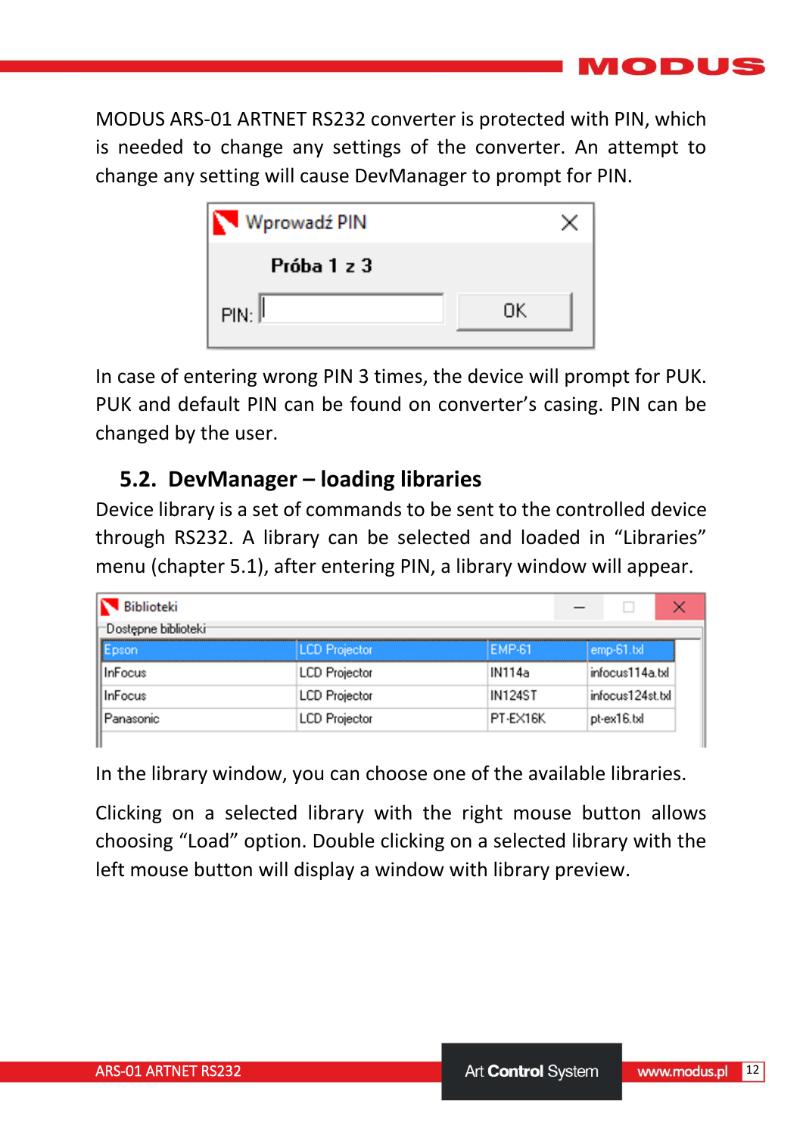MODUS ARS-01 ARTNET RS232 converter is protected with PIN, which is needed to change any settings of the converter. An attempt to change any setting will cause DevManager to prompt for PIN.

| Wprowadź PIN       |    |  |
|--------------------|----|--|
| Próba 1 z 3        |    |  |
| PIN: <sup>[]</sup> | ПK |  |

In case of entering wrong PIN 3 times, the device will prompt for PUK. PUK and default PIN can be found on converter's casing. PIN can be changed by the user.

## <span id="page-11-0"></span>**5.2. DevManager – loading libraries**

Device library is a set of commands to be sent to the controlled device through RS232. A library can be selected and loaded in "Libraries" menu (chapter 5.1), after entering PIN, a library window will appear.

| <b>Biblioteki</b>   |                      |                |                  |
|---------------------|----------------------|----------------|------------------|
| Dostępne biblioteki |                      |                |                  |
| Epson               | <b>LCD</b> Projector | <b>EMP-61</b>  | emp-61.txl       |
| InFocus             | <b>LCD</b> Projector | IN114a         | infocus114a.txl  |
| InFocus             | <b>LCD</b> Projector | <b>IN124ST</b> | infocus124st.txl |
| Panasonic           | <b>LCD</b> Projector | PT-EX16K       | pt-ex16.txl      |

In the library window, you can choose one of the available libraries.

Clicking on a selected library with the right mouse button allows choosing "Load" option. Double clicking on a selected library with the left mouse button will display a window with library preview.

IODUS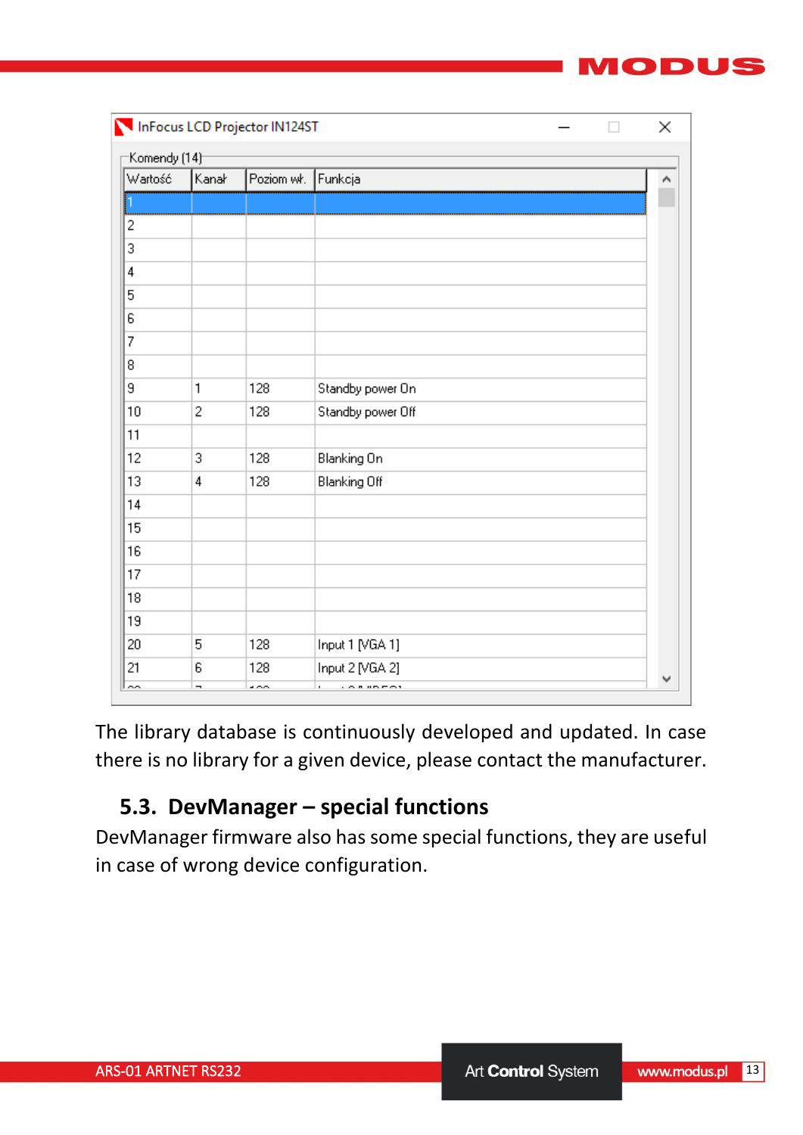| ٠<br>. . |  |  |
|----------|--|--|

|                           |                          | InFocus LCD Projector IN124ST |                     | × |
|---------------------------|--------------------------|-------------------------------|---------------------|---|
| Komendy (14) <sup>-</sup> |                          |                               |                     |   |
| Wartość                   | Kanał                    | Poziom wk.                    | Funkcja             |   |
|                           |                          |                               |                     |   |
| 2                         |                          |                               |                     |   |
| 3                         |                          |                               |                     |   |
| 4                         |                          |                               |                     |   |
| 5                         |                          |                               |                     |   |
| 6                         |                          |                               |                     |   |
| 7                         |                          |                               |                     |   |
| 8                         |                          |                               |                     |   |
| 9                         | $\mathbf{1}$             | 128                           | Standby power On    |   |
| 10                        | $\overline{c}$           | 128                           | Standby power Off   |   |
| 11                        |                          |                               |                     |   |
| 12                        | 3                        | 128                           | Blanking On         |   |
| 13                        | 4                        | 128                           | <b>Blanking Off</b> |   |
| 14                        |                          |                               |                     |   |
| 15                        |                          |                               |                     |   |
| 16                        |                          |                               |                     |   |
| 17                        |                          |                               |                     |   |
| 18                        |                          |                               |                     |   |
| 19                        |                          |                               |                     |   |
| 20                        | 5                        | 128                           | Input 1 [VGA 1]     |   |
| 21                        | 6                        | 128                           | Input 2 [VGA 2]     |   |
| oo.                       | $\overline{\phantom{a}}$ | $\sim$                        | ×.<br>0.0000000     |   |

The library database is continuously developed and updated. In case there is no library for a given device, please contact the manufacturer.

## <span id="page-12-0"></span>**5.3. DevManager – special functions**

DevManager firmware also has some special functions, they are useful in case of wrong device configuration.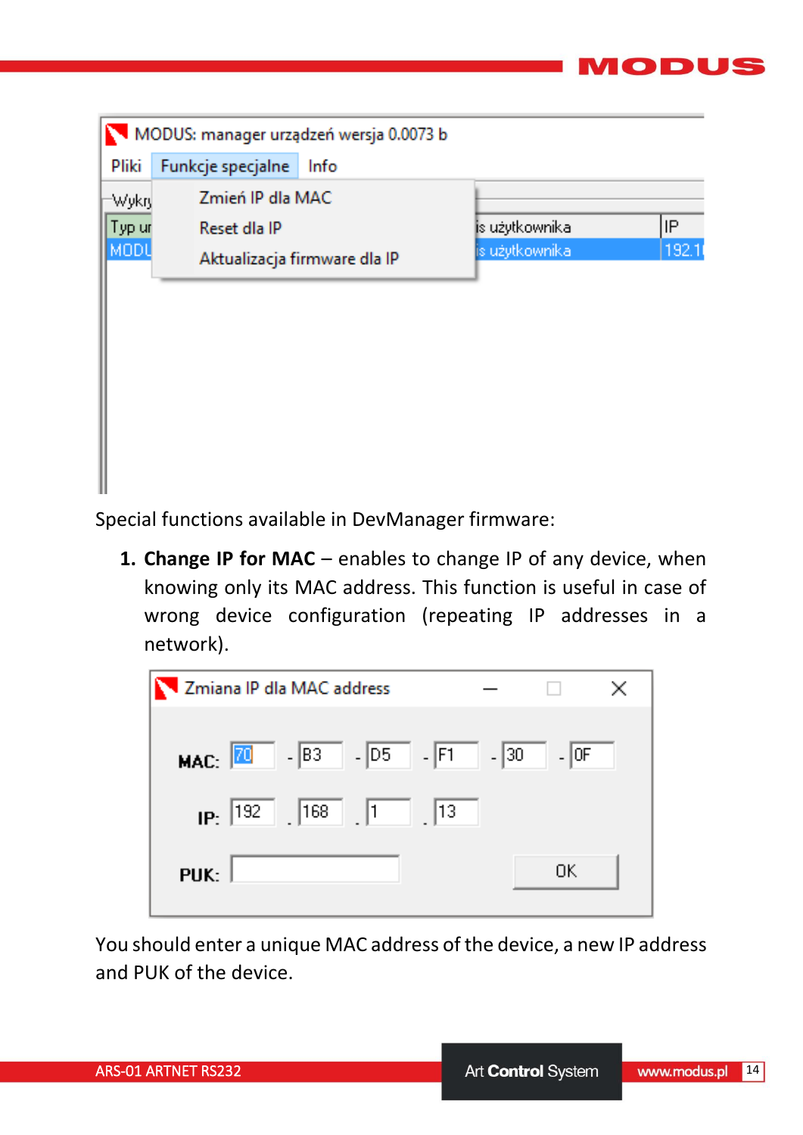| MODUS: manager urządzeń wersja 0.0073 b |                              |                |       |  |
|-----------------------------------------|------------------------------|----------------|-------|--|
| Pliki                                   | Funkcje specjalne<br>Info    |                |       |  |
| Wykry                                   | Zmień IP dla MAC             |                |       |  |
| Typ ur                                  | Reset dla IP                 | is użytkownika | IP    |  |
| MODU                                    | Aktualizacja firmware dla IP | is użytkownika | 192.1 |  |
|                                         |                              |                |       |  |
|                                         |                              |                |       |  |
|                                         |                              |                |       |  |
|                                         |                              |                |       |  |
|                                         |                              |                |       |  |
|                                         |                              |                |       |  |
|                                         |                              |                |       |  |
|                                         |                              |                |       |  |

Special functions available in DevManager firmware:

1. **Change IP for MAC** – enables to change IP of any device, when knowing only its MAC address. This function is useful in case of wrong device configuration (repeating IP addresses in a network).

| Zmiana IP dla MAC address                         |
|---------------------------------------------------|
| $ B3$ $ D5$ $ F1$ $  30$<br>$-$ OF<br>MAC: $ 70 $ |
| $_{\text{IP:}}$  192    168    1    13            |
| 0K<br>PUK:                                        |

You should enter a unique MAC address of the device, a new IP address and PUK of the device.

70 DUS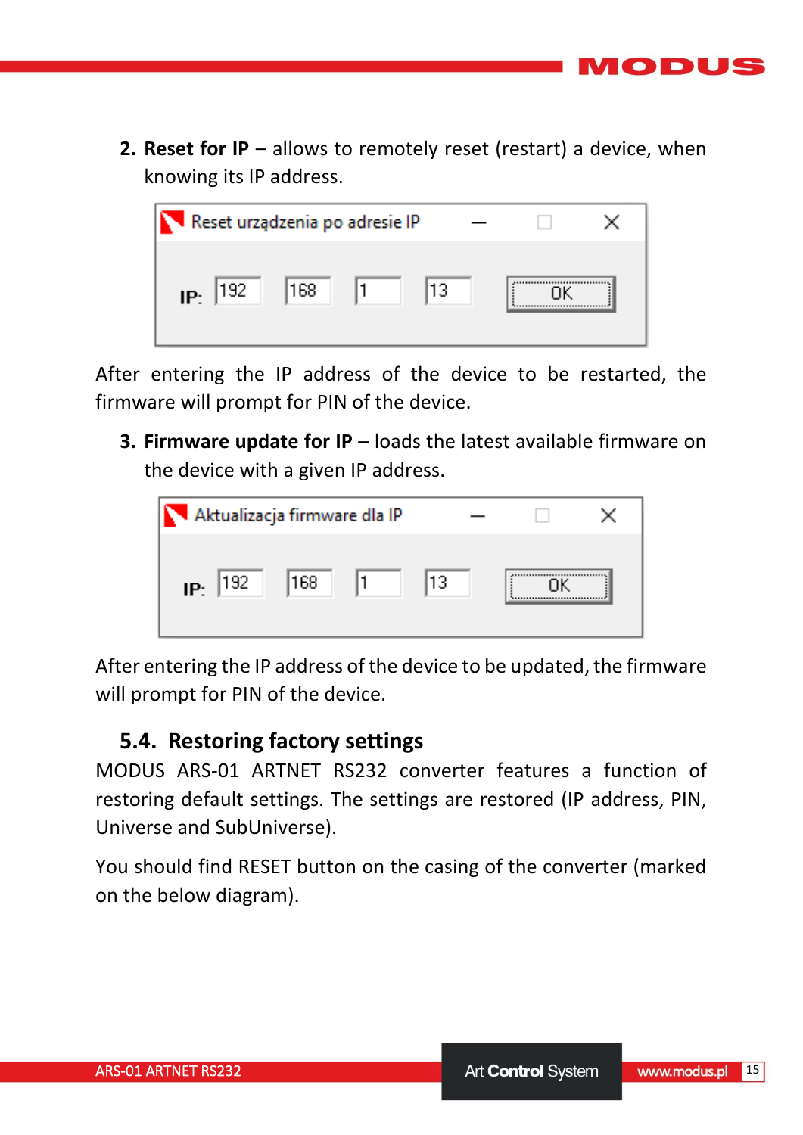**2. Reset for IP** – allows to remotely reset (restart) a device, when knowing its IP address.



After entering the IP address of the device to be restarted, the firmware will prompt for PIN of the device.

**3. Firmware update for IP** – loads the latest available firmware on the device with a given IP address.



After entering the IP address of the device to be updated, the firmware will prompt for PIN of the device.

## <span id="page-14-0"></span>**5.4. Restoring factory settings**

MODUS ARS-01 ARTNET RS232 converter features a function of restoring default settings. The settings are restored (IP address, PIN, Universe and SubUniverse).

You should find RESET button on the casing of the converter (marked on the below diagram).

ODL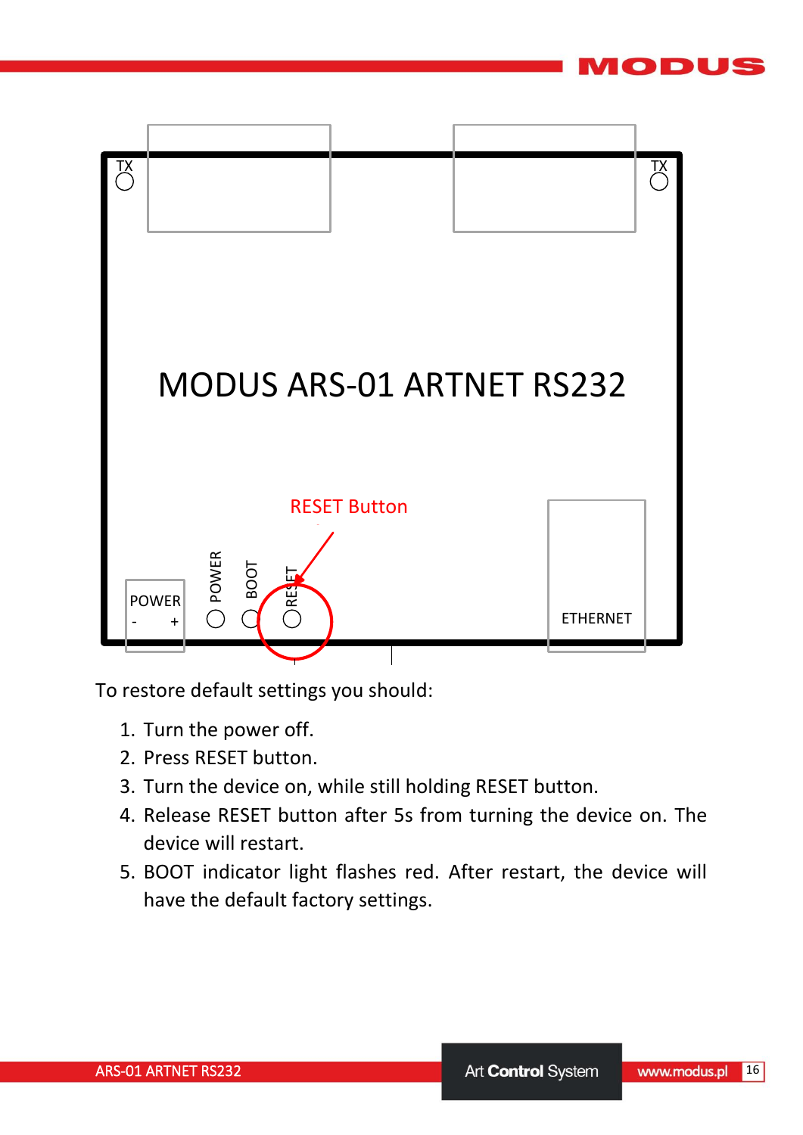

To restore default settings you should:

- 1. Turn the power off.
- 2. Press RESET button.
- 3. Turn the device on, while still holding RESET button.
- 4. Release RESET button after 5s from turning the device on. The device will restart.
- 5. BOOT indicator light flashes red. After restart, the device will have the default factory settings.

ODUS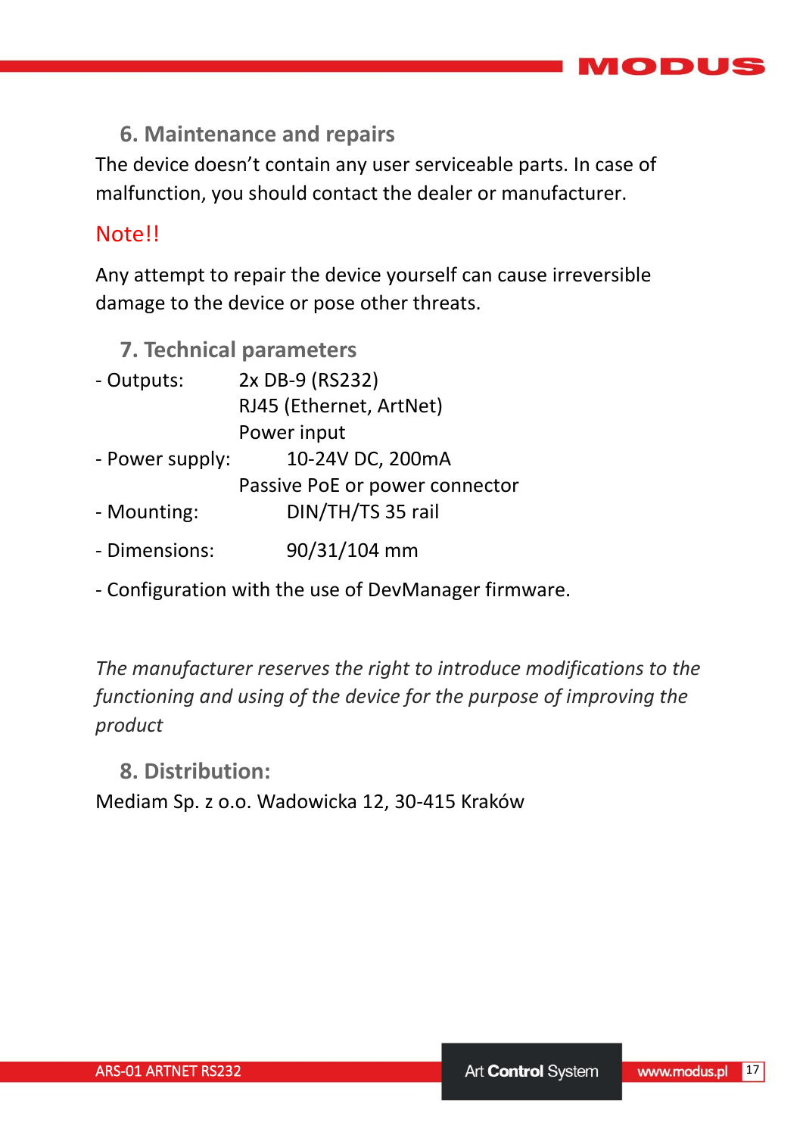

<span id="page-16-0"></span>**6. Maintenance and repairs**

The device doesn't contain any user serviceable parts. In case of malfunction, you should contact the dealer or manufacturer.

#### Note!!

Any attempt to repair the device yourself can cause irreversible damage to the device or pose other threats.

#### <span id="page-16-1"></span>**7. Technical parameters**

| - Outputs:      | 2x DB-9 (RS232)                |
|-----------------|--------------------------------|
|                 | RJ45 (Ethernet, ArtNet)        |
|                 | Power input                    |
| - Power supply: | 10-24V DC, 200mA               |
|                 | Passive PoE or power connector |
| - Mounting:     | DIN/TH/TS 35 rail              |
| - Dimensions:   | 90/31/104 mm                   |

- Configuration with the use of DevManager firmware.

*The manufacturer reserves the right to introduce modifications to the functioning and using of the device for the purpose of improving the product*

<span id="page-16-2"></span>**8. Distribution:**

Mediam Sp. z o.o. Wadowicka 12, 30-415 Kraków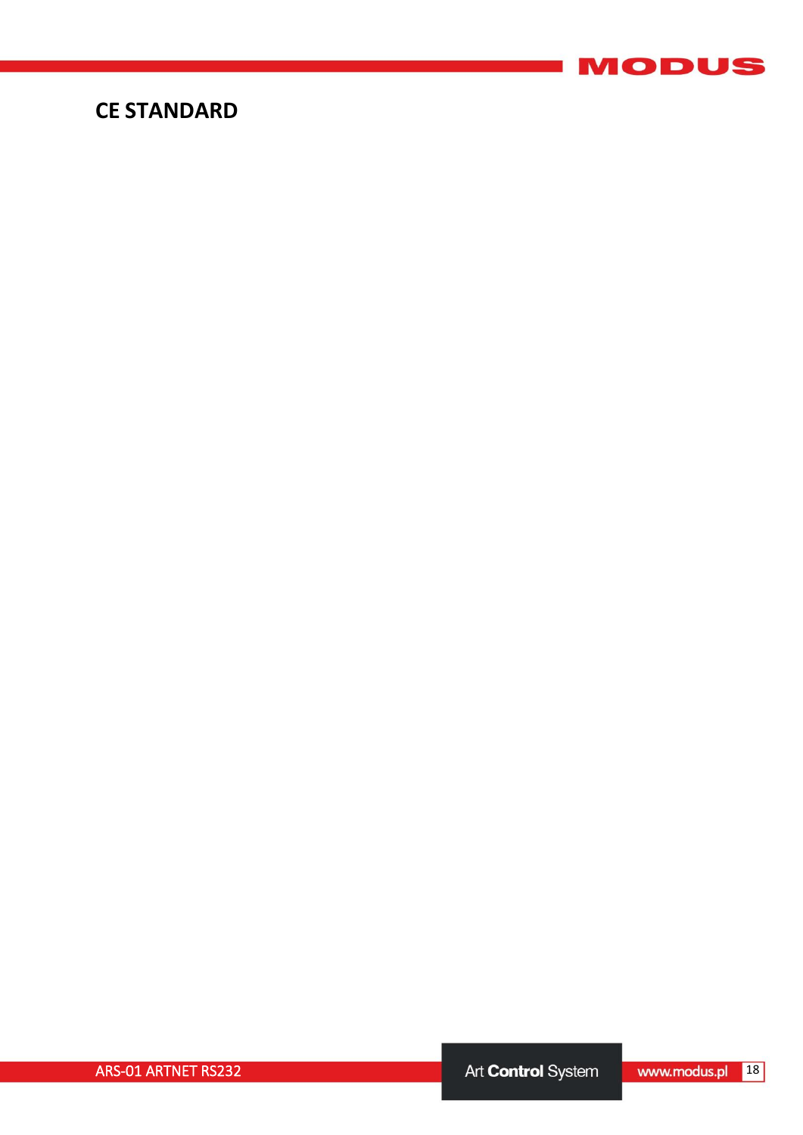

## **CE STANDARD**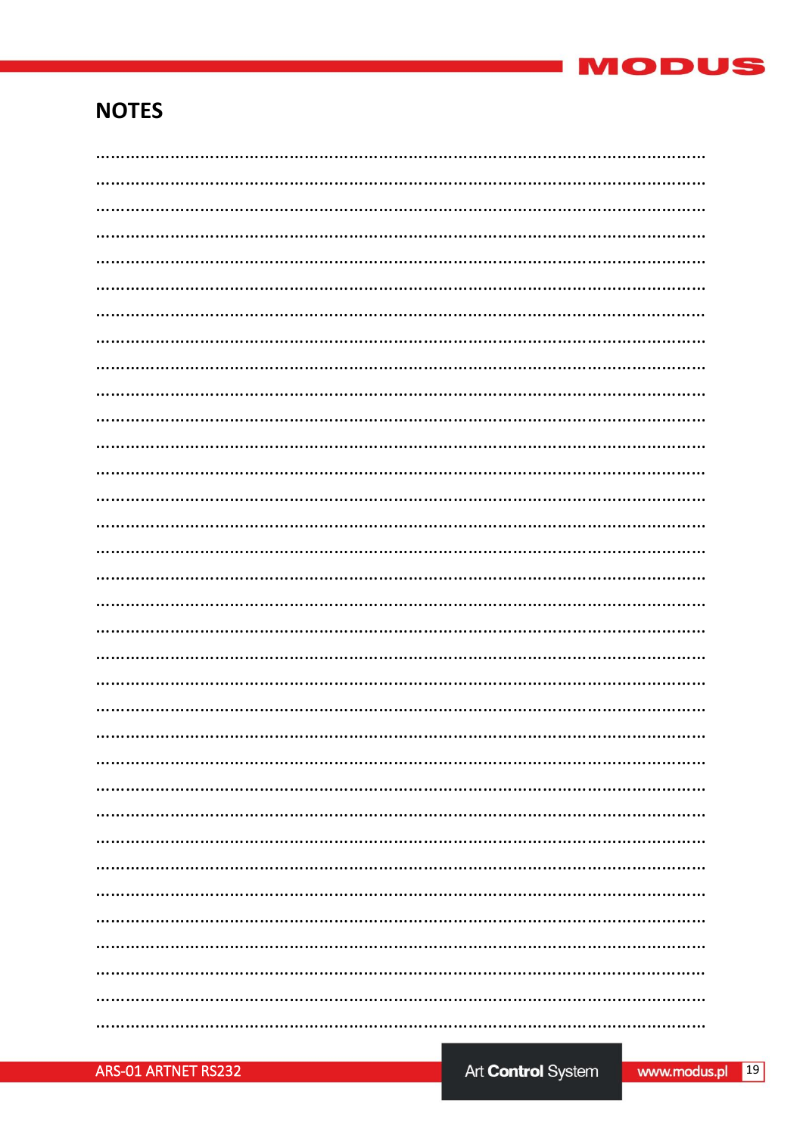

## **NOTES**